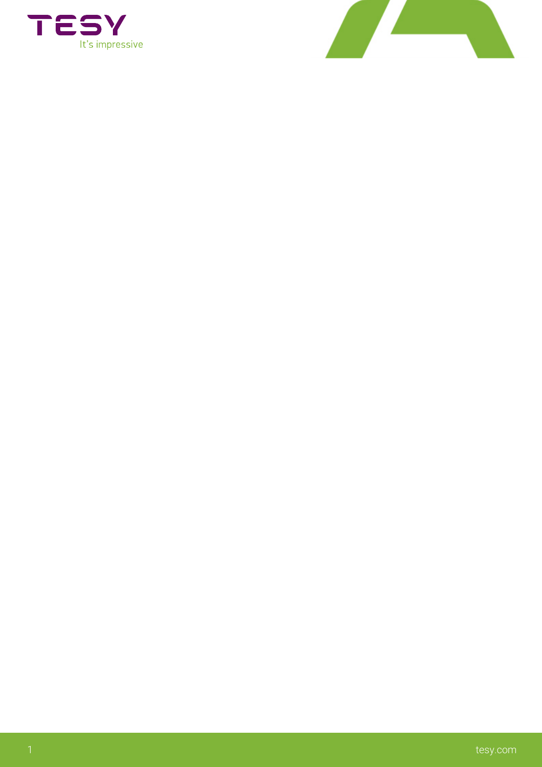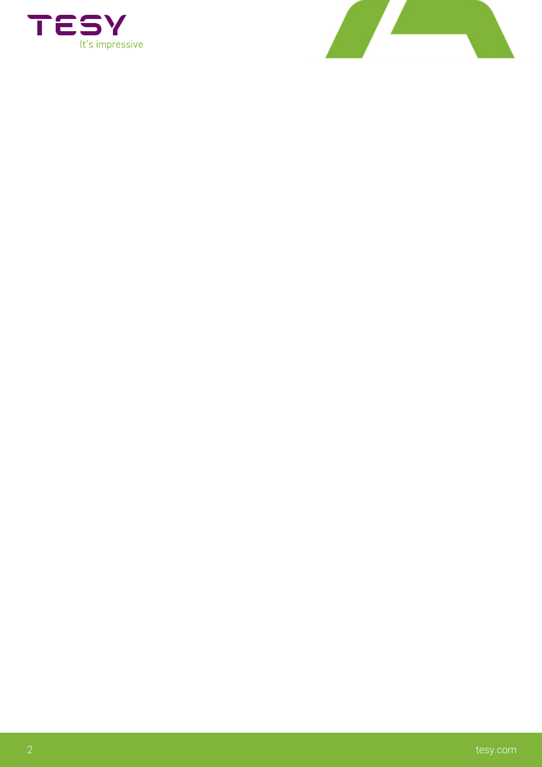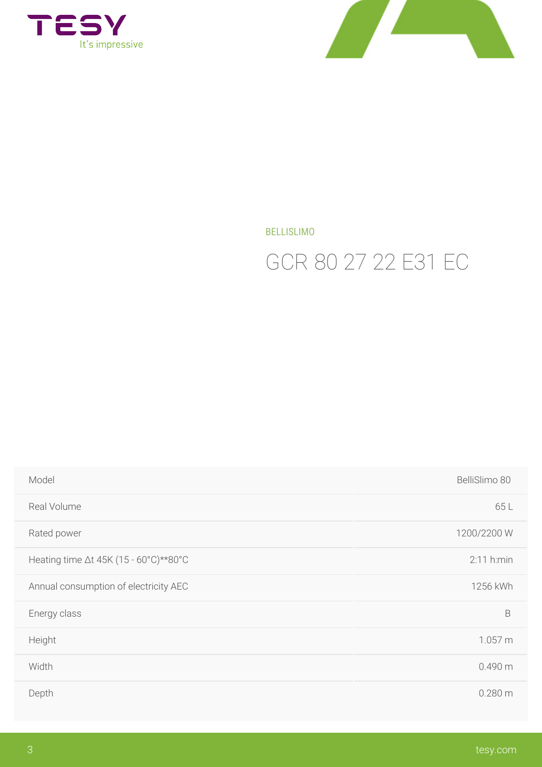

## BELLISLIMO

## GCR 80 27 22 E3'

| Model                                 | BelliSlimo 8 |
|---------------------------------------|--------------|
| Real Volume                           | 65 L         |
| Rated power                           | 1200/2200 W  |
| Heating time "t 45K (15 - 60°C)**80°C | $2:11$ h:min |
| Annual consumption of electricity AEC | 1256 kWh     |
| Energy class                          | $\mathsf B$  |
| Height                                | 1.057 m      |
| Width                                 | 0.490 m      |
| Depth                                 | $0.280$ m    |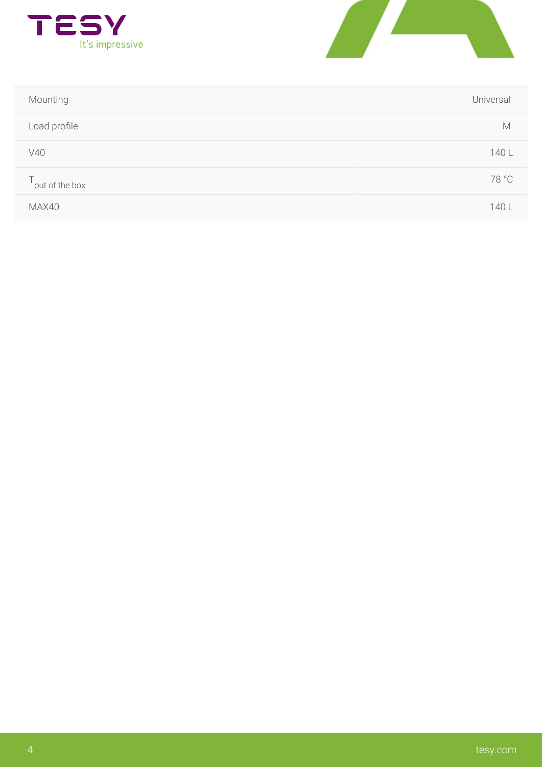

| Mounting                    | Universal |
|-----------------------------|-----------|
| Load profile                | M         |
| $V$ 40                      | 140 L     |
| T <sub>out of the box</sub> | 78 °C     |
| MAX40                       | 140L      |